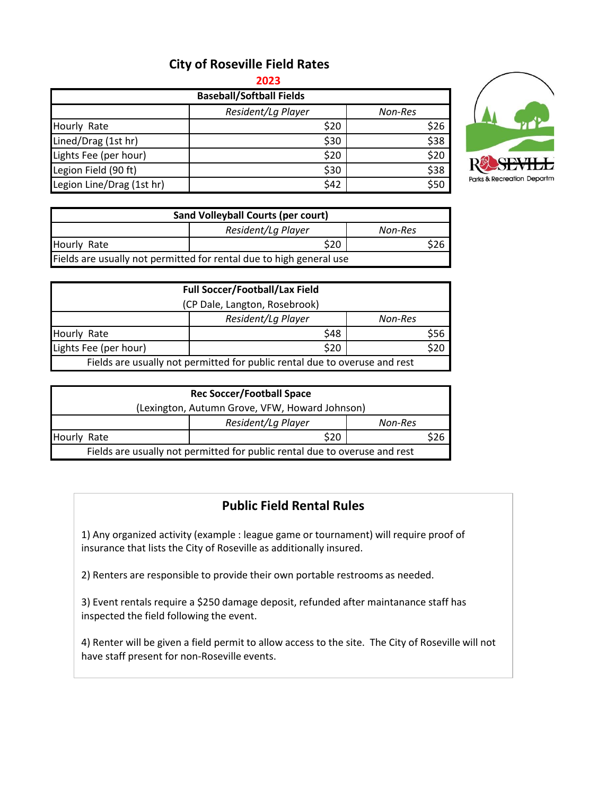## **City of Roseville Field Rates**

**2023**

| <b>Baseball/Softball Fields</b> |                    |         |  |  |  |
|---------------------------------|--------------------|---------|--|--|--|
|                                 | Resident/Lg Player | Non-Res |  |  |  |
| Hourly Rate                     | \$20               | \$26    |  |  |  |
| Lined/Drag (1st hr)             | \$30               | \$38    |  |  |  |
| Lights Fee (per hour)           | \$20               | \$20    |  |  |  |
| Legion Field (90 ft)            | \$30               | \$38    |  |  |  |
| Legion Line/Drag (1st hr)       | \$42               | \$50    |  |  |  |



| Sand Volleyball Courts (per court)                                  |                    |         |  |  |
|---------------------------------------------------------------------|--------------------|---------|--|--|
|                                                                     | Resident/La Player | Non-Res |  |  |
| Hourly Rate                                                         | \$20               |         |  |  |
| Fields are usually not permitted for rental due to high general use |                    |         |  |  |

|                                                                            | <b>Full Soccer/Football/Lax Field</b> |         |  |  |
|----------------------------------------------------------------------------|---------------------------------------|---------|--|--|
| (CP Dale, Langton, Rosebrook)                                              |                                       |         |  |  |
|                                                                            | Resident/Lg Player                    | Non-Res |  |  |
| Hourly Rate                                                                | \$48                                  | \$56    |  |  |
| Lights Fee (per hour)                                                      | \$20                                  | \$20    |  |  |
| Fields are usually not permitted for public rental due to overuse and rest |                                       |         |  |  |

| <b>Rec Soccer/Football Space</b>                                           |                    |         |  |  |  |
|----------------------------------------------------------------------------|--------------------|---------|--|--|--|
| (Lexington, Autumn Grove, VFW, Howard Johnson)                             |                    |         |  |  |  |
|                                                                            | Resident/Lg Player | Non-Res |  |  |  |
| Hourly Rate                                                                | \$20               |         |  |  |  |
| Fields are usually not permitted for public rental due to overuse and rest |                    |         |  |  |  |

## **Public Field Rental Rules**

1) Any organized activity (example : league game or tournament) will require proof of insurance that lists the City of Roseville as additionally insured.

2) Renters are responsible to provide their own portable restrooms as needed.

3) Event rentals require a \$250 damage deposit, refunded after maintanance staff has inspected the field following the event.

4) Renter will be given a field permit to allow access to the site. The City of Roseville will not have staff present for non-Roseville events.